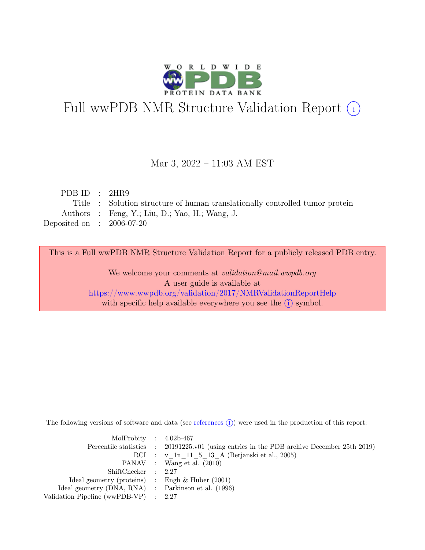

# Full wwPDB NMR Structure Validation Report (i)

### Mar 3, 2022 – 11:03 AM EST

| PDB ID : $2HR9$             |                                                                              |
|-----------------------------|------------------------------------------------------------------------------|
|                             | Title : Solution structure of human translationally controlled tumor protein |
|                             | Authors : Feng, Y.; Liu, D.; Yao, H.; Wang, J.                               |
| Deposited on : $2006-07-20$ |                                                                              |

This is a Full wwPDB NMR Structure Validation Report for a publicly released PDB entry.

We welcome your comments at *validation@mail.wwpdb.org* A user guide is available at <https://www.wwpdb.org/validation/2017/NMRValidationReportHelp> with specific help available everywhere you see the  $(i)$  symbol.

The following versions of software and data (see [references](https://www.wwpdb.org/validation/2017/NMRValidationReportHelp#references)  $\hat{I}$ ) were used in the production of this report:

| MolProbity : $4.02b-467$                            |                                                                                            |
|-----------------------------------------------------|--------------------------------------------------------------------------------------------|
|                                                     | Percentile statistics : 20191225.v01 (using entries in the PDB archive December 25th 2019) |
|                                                     | RCI : v 1n 11 5 13 A (Berjanski et al., 2005)                                              |
|                                                     | PANAV : Wang et al. (2010)                                                                 |
| ShiftChecker : 2.27                                 |                                                                                            |
| Ideal geometry (proteins) : Engh $\&$ Huber (2001)  |                                                                                            |
| Ideal geometry (DNA, RNA) : Parkinson et al. (1996) |                                                                                            |
| Validation Pipeline (wwPDB-VP) : $2.27$             |                                                                                            |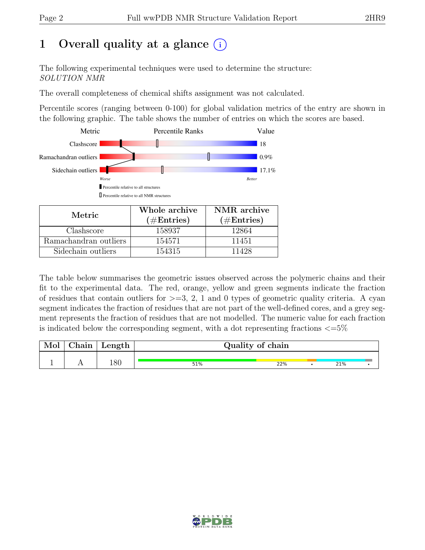# 1 Overall quality at a glance  $(i)$

The following experimental techniques were used to determine the structure: SOLUTION NMR

The overall completeness of chemical shifts assignment was not calculated.

Percentile scores (ranging between 0-100) for global validation metrics of the entry are shown in the following graphic. The table shows the number of entries on which the scores are based.



| Metric.               | Whole archive<br>$(\#Entries)$ | NMR archive<br>$(\#Entries)$ |  |
|-----------------------|--------------------------------|------------------------------|--|
|                       |                                |                              |  |
| Clashscore            | 158937                         | 12864                        |  |
| Ramachandran outliers | 154571                         | 11451                        |  |
| Sidechain outliers    | 154315                         | 11428                        |  |

The table below summarises the geometric issues observed across the polymeric chains and their fit to the experimental data. The red, orange, yellow and green segments indicate the fraction of residues that contain outliers for  $>=$  3, 2, 1 and 0 types of geometric quality criteria. A cyan segment indicates the fraction of residues that are not part of the well-defined cores, and a grey segment represents the fraction of residues that are not modelled. The numeric value for each fraction is indicated below the corresponding segment, with a dot representing fractions  $\langle=5\%$ 

| Chain | Length |     | Quality of chain |     |  |
|-------|--------|-----|------------------|-----|--|
|       |        |     |                  |     |  |
|       | 180    | 51% | 22%              | 21% |  |

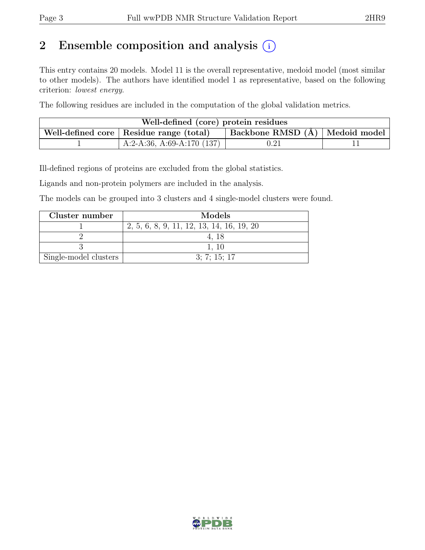# 2 Ensemble composition and analysis  $(i)$

This entry contains 20 models. Model 11 is the overall representative, medoid model (most similar to other models). The authors have identified model 1 as representative, based on the following criterion: lowest energy.

The following residues are included in the computation of the global validation metrics.

| Well-defined (core) protein residues                                            |                              |            |  |  |  |
|---------------------------------------------------------------------------------|------------------------------|------------|--|--|--|
| Backbone RMSD (Å)   Medoid model  <br>Well-defined core   Residue range (total) |                              |            |  |  |  |
|                                                                                 | A:2-A:36, A:69-A:170 $(137)$ | $\rm 0.21$ |  |  |  |

Ill-defined regions of proteins are excluded from the global statistics.

Ligands and non-protein polymers are included in the analysis.

The models can be grouped into 3 clusters and 4 single-model clusters were found.

| Cluster number        | Models                                    |
|-----------------------|-------------------------------------------|
|                       | 2, 5, 6, 8, 9, 11, 12, 13, 14, 16, 19, 20 |
|                       |                                           |
|                       | 1.10                                      |
| Single-model clusters | 3: 7: 15: 17                              |

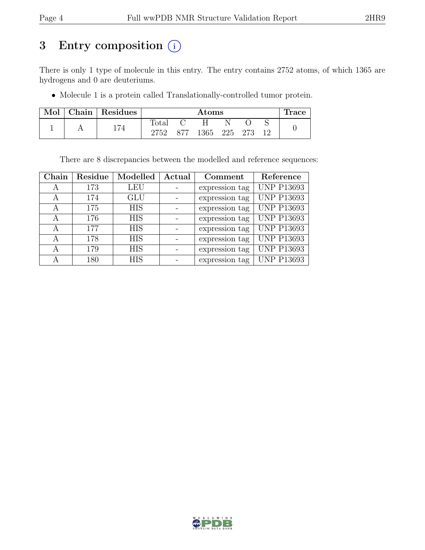# 3 Entry composition (i)

There is only 1 type of molecule in this entry. The entry contains 2752 atoms, of which 1365 are hydrogens and 0 are deuteriums.

• Molecule 1 is a protein called Translationally-controlled tumor protein.

| Mol | Chain   Residues |                | $\rm{Atoms}$  |              |  |  |  | ⊥race |
|-----|------------------|----------------|---------------|--------------|--|--|--|-------|
|     |                  | $\text{Total}$ | $\mathcal{C}$ | . н.         |  |  |  |       |
|     | 174              | 2752           | 877           | 1365 225 273 |  |  |  |       |

There are 8 discrepancies between the modelled and reference sequences:

| Chain | Residue | Modelled   | Actual | Comment        | Reference         |
|-------|---------|------------|--------|----------------|-------------------|
| А     | 173     | <b>LEU</b> |        | expression tag | <b>UNP P13693</b> |
| А     | 174     | <b>GLU</b> |        | expression tag | <b>UNP P13693</b> |
| А     | 175     | <b>HIS</b> |        | expression tag | <b>UNP P13693</b> |
| А     | 176     | <b>HIS</b> |        | expression tag | <b>UNP P13693</b> |
| А     | 177     | <b>HIS</b> |        | expression tag | <b>UNP P13693</b> |
| А     | 178     | <b>HIS</b> |        | expression tag | <b>UNP P13693</b> |
| А     | 179     | <b>HIS</b> |        | expression tag | <b>UNP P13693</b> |
| А     | 180     | <b>HIS</b> |        | expression tag | <b>UNP P13693</b> |

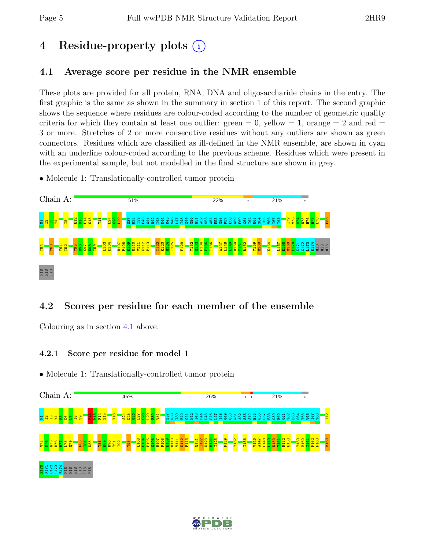# 4 Residue-property plots (i)

## <span id="page-4-0"></span>4.1 Average score per residue in the NMR ensemble

These plots are provided for all protein, RNA, DNA and oligosaccharide chains in the entry. The first graphic is the same as shown in the summary in section 1 of this report. The second graphic shows the sequence where residues are colour-coded according to the number of geometric quality criteria for which they contain at least one outlier:  $green = 0$ ,  $yellow = 1$ ,  $orange = 2$  and  $red =$ 3 or more. Stretches of 2 or more consecutive residues without any outliers are shown as green connectors. Residues which are classified as ill-defined in the NMR ensemble, are shown in cyan with an underline colour-coded according to the previous scheme. Residues which were present in the experimental sample, but not modelled in the final structure are shown in grey.

• Molecule 1: Translationally-controlled tumor protein



## 4.2 Scores per residue for each member of the ensemble

Colouring as in section [4.1](#page-4-0) above.

### 4.2.1 Score per residue for model 1



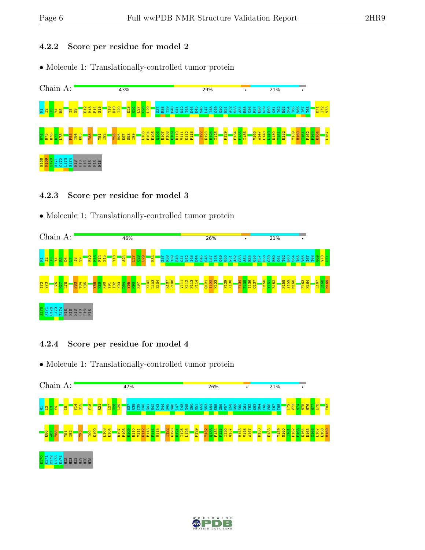### 4.2.2 Score per residue for model 2

• Molecule 1: Translationally-controlled tumor protein



#### 4.2.3 Score per residue for model 3

• Molecule 1: Translationally-controlled tumor protein



### 4.2.4 Score per residue for model 4



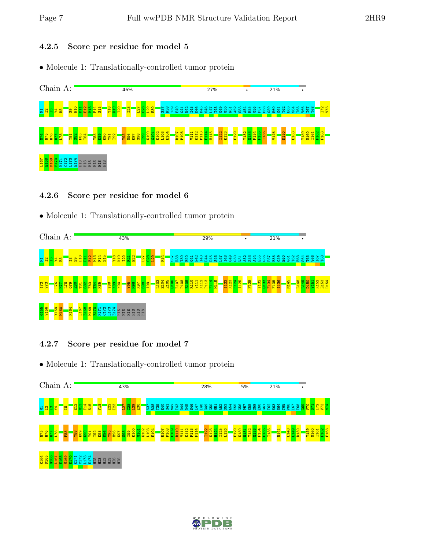### 4.2.5 Score per residue for model 5

• Molecule 1: Translationally-controlled tumor protein



#### 4.2.6 Score per residue for model 6

• Molecule 1: Translationally-controlled tumor protein



### 4.2.7 Score per residue for model 7



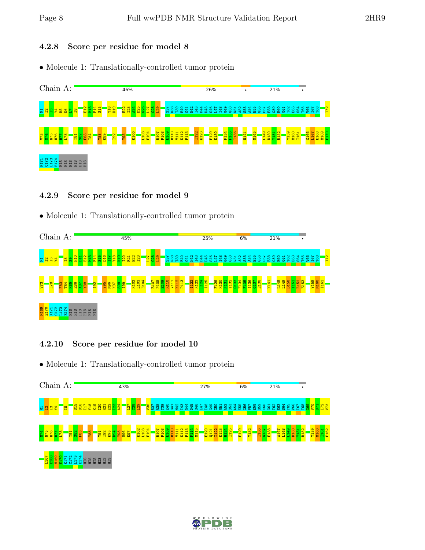### 4.2.8 Score per residue for model 8

• Molecule 1: Translationally-controlled tumor protein



#### 4.2.9 Score per residue for model 9

• Molecule 1: Translationally-controlled tumor protein



### 4.2.10 Score per residue for model 10



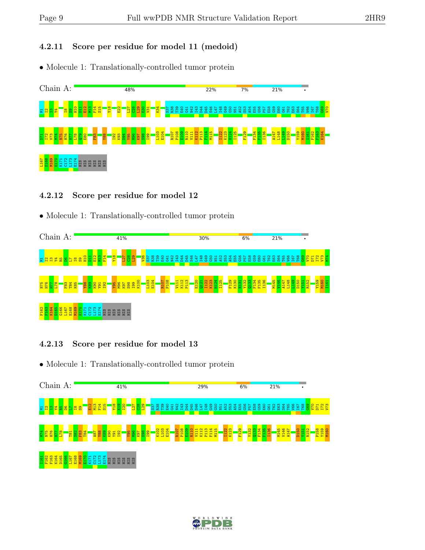### 4.2.11 Score per residue for model 11 (medoid)

• Molecule 1: Translationally-controlled tumor protein



#### 4.2.12 Score per residue for model 12

• Molecule 1: Translationally-controlled tumor protein



### 4.2.13 Score per residue for model 13



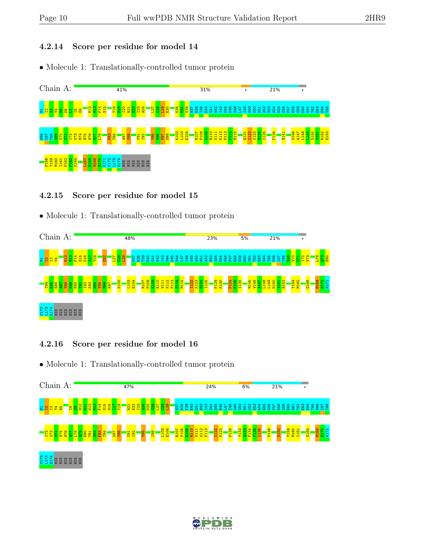#### 4.2.14 Score per residue for model 14

• Molecule 1: Translationally-controlled tumor protein



#### 4.2.15 Score per residue for model 15

• Molecule 1: Translationally-controlled tumor protein



### 4.2.16 Score per residue for model 16



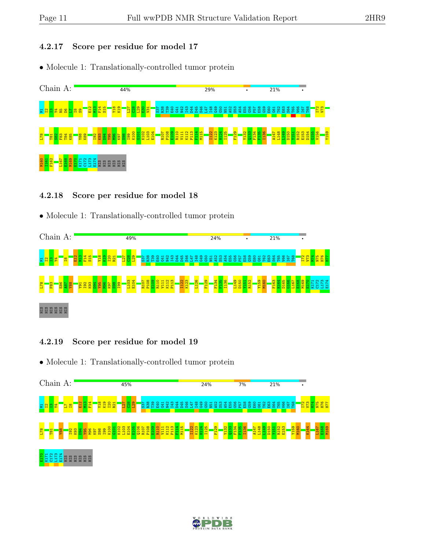#### 4.2.17 Score per residue for model 17

• Molecule 1: Translationally-controlled tumor protein



#### 4.2.18 Score per residue for model 18

• Molecule 1: Translationally-controlled tumor protein



### 4.2.19 Score per residue for model 19



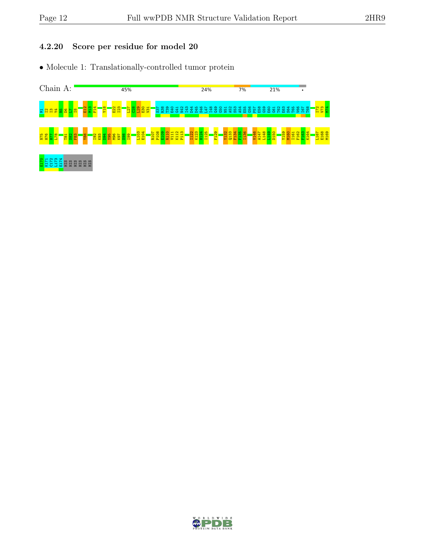#### 4.2.20 Score per residue for model 20



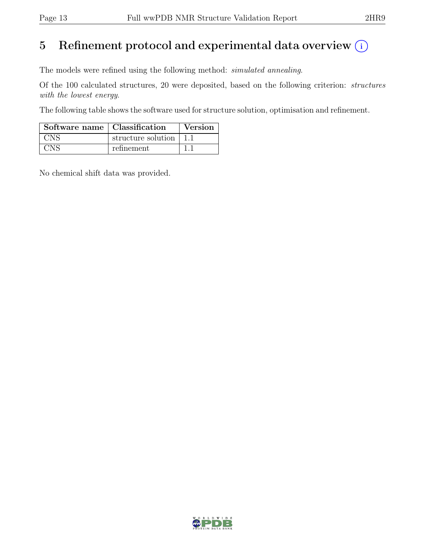## 5 Refinement protocol and experimental data overview  $(i)$

The models were refined using the following method: simulated annealing.

Of the 100 calculated structures, 20 were deposited, based on the following criterion: structures with the lowest energy.

The following table shows the software used for structure solution, optimisation and refinement.

| $\overline{\phantom{a}}$ Software name $\overline{\phantom{a}}$ Classification |                    | <b>Version</b> |
|--------------------------------------------------------------------------------|--------------------|----------------|
| <b>CNS</b>                                                                     | structure solution |                |
| CNS                                                                            | refinement         |                |

No chemical shift data was provided.

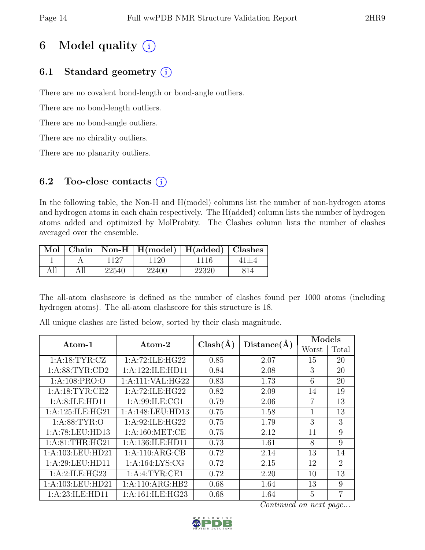# 6 Model quality  $(i)$

## 6.1 Standard geometry  $(i)$

There are no covalent bond-length or bond-angle outliers.

There are no bond-length outliers.

There are no bond-angle outliers.

There are no chirality outliers.

There are no planarity outliers.

## 6.2 Too-close contacts  $(i)$

In the following table, the Non-H and H(model) columns list the number of non-hydrogen atoms and hydrogen atoms in each chain respectively. The H(added) column lists the number of hydrogen atoms added and optimized by MolProbity. The Clashes column lists the number of clashes averaged over the ensemble.

|     |     |       | Mol   Chain   Non-H   H(model)   H(added)   Clashes |       |  |
|-----|-----|-------|-----------------------------------------------------|-------|--|
|     |     | 1127  | 1120                                                | 1116  |  |
| All | All | 22540 | 22400                                               | 22320 |  |

The all-atom clashscore is defined as the number of clashes found per 1000 atoms (including hydrogen atoms). The all-atom clashscore for this structure is 18.

| Atom-1             | Atom-2             | $Clash(\AA)$ | Distance(A) | Models |                |  |
|--------------------|--------------------|--------------|-------------|--------|----------------|--|
|                    |                    |              |             | Worst  | Total          |  |
| 1: A: 18: TYR: CZ  | 1:A:72:ILE:HG22    | 0.85         | 2.07        | 15     | 20             |  |
| 1: A:88: TYR:CD2   | 1:A:122:ILE:HD11   | 0.84         | 2.08        | 3      | 20             |  |
| 1:A:108:PRO:O      | 1:A:111:VAL:HG22   | 0.83         | 1.73        | 6      | 20             |  |
| 1: A: 18: TYR: CE2 | 1:A:72:ILE:HG22    | 0.82         | 2.09        | 14     | 19             |  |
| 1: A:8: ILE: HD11  | 1:A:99:ILE:CG1     | 0.79         | 2.06        | 7      | 13             |  |
| 1:A:125:ILE:HG21   | 1:A:148:LEU:HD13   | 0.75         | 1.58        | 1      | 13             |  |
| 1:A:88:TYR:0       | 1: A:92: ILE: HG22 | 0.75         | 1.79        | 3      | 3              |  |
| 1:A:78:LEU:HD13    | 1: A:160:MET:CE    | 0.75         | 2.12        | 11     | 9              |  |
| 1: A:81:THR:HG21   | 1:A:136:ILE:HD11   | 0.73         | 1.61        | 8      | 9              |  |
| 1:A:103:LEU:HD21   | 1:A:110:ARG:CB     | 0.72         | 2.14        | 13     | 14             |  |
| 1:A:29:LEU:HD11    | 1: A: 164: LYS: CG | 0.72         | 2.15        | 12     | $\overline{2}$ |  |
| 1: A:2: ILE: HG23  | 1: A: 4: TYR: CE1  | 0.72         | 2.20        | 10     | 13             |  |
| 1:A:103:LEU:HD21   | 1:A:110:ARG:HB2    | 0.68         | 1.64        | 13     | 9              |  |
| 1:A:23:ILE:HD11    | 1:A:161:ILE:HG23   | 0.68         | 1.64        | 5      | $\overline{7}$ |  |

All unique clashes are listed below, sorted by their clash magnitude.

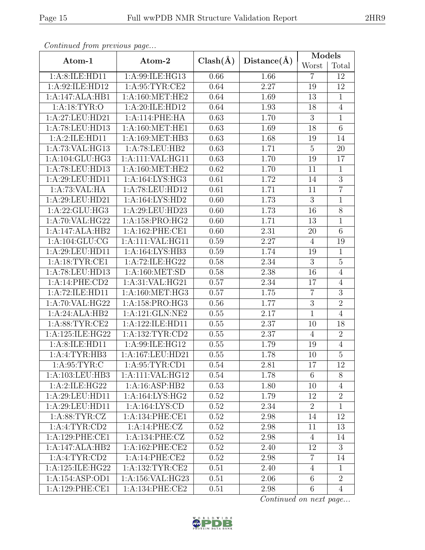| Continuea from previous page |                              |              |             | Models          |                |  |
|------------------------------|------------------------------|--------------|-------------|-----------------|----------------|--|
| Atom-1                       | Atom-2                       | $Clash(\AA)$ | Distance(A) | Worst           | Total          |  |
| 1:A:8:ILE:HD11               | 1:A:99:ILE:HG13              | 0.66         | 1.66        | $\overline{7}$  | 12             |  |
| 1:A:92:ILE:HD12              | 1: A:95:TYR:CE2              | 0.64         | 2.27        | 19              | 12             |  |
| 1:A:147:ALA:HB1              | 1: A:160:MET:HE2             | 0.64         | 1.69        | 13              | $\mathbf{1}$   |  |
| 1: A: 18: TYR: O             | $1:\overline{A:20:ILE:HD12}$ | 0.64         | 1.93        | 18              | $\overline{4}$ |  |
| 1:A:27:LEU:HD21              | 1:A:114:PHE:HA               | 0.63         | 1.70        | 3               | $\mathbf 1$    |  |
| 1:A:78:LEU:HD13              | 1: A:160:MET:HE1             | 0.63         | 1.69        | $\overline{18}$ | 6              |  |
| 1:A:2:ILE:HD11               | 1:A:169:MET:HB3              | 0.63         | 1.68        | 19              | 14             |  |
| 1:A:73:VAL:HG13              | 1:A:78:LEU:HB2               | 0.63         | 1.71        | $\overline{5}$  | 20             |  |
| 1:A:104:GLU:HG3              | 1:A:111:VAL:HG11             | 0.63         | 1.70        | 19              | 17             |  |
| 1:A:78:LEU:HD13              | 1: A:160:MET:HE2             | 0.62         | 1.70        | 11              | $\mathbf{1}$   |  |
| 1:A:29:LEU:HD11              | 1: A: 164: LYS: HG3          | 0.61         | 1.72        | 14              | $\overline{3}$ |  |
| 1:A:73:VAL:HA                | 1:A:78:LEU:HD12              | 0.61         | 1.71        | 11              | $\overline{7}$ |  |
| 1:A:29:LEU:HD21              | 1:A:164:LYS:HD2              | 0.60         | 1.73        | 3               | $\mathbf{1}$   |  |
| 1:A:22:GLU:HG3               | 1:A:29:LEU:HD23              | 0.60         | 1.73        | 16              | 8              |  |
| 1:A:70:VAL:HG22              | 1:A:158:PRO:HG2              | 0.60         | 1.71        | 13              | $\mathbf{1}$   |  |
| 1:A:147:ALA:HB2              | 1:A:162:PHE:CE1              | 0.60         | 2.31        | 20              | $\,6$          |  |
| 1: A: 104: GLU: CG           | 1:A:111:VAL:HG11             | 0.59         | 2.27        | $\overline{4}$  | 19             |  |
| 1:A:29:LEU:HD11              | 1:A:164:LYS:HB3              | 0.59         | 1.74        | 19              | $\mathbf{1}$   |  |
| 1:A:18:TYR:CE1               | 1:A:72:ILE:HG22              | 0.58         | 2.34        | $\overline{3}$  | $\overline{5}$ |  |
| 1:A:78:LEU:HD13              | 1: A:160: MET:SD             | 0.58         | 2.38        | 16              | $\overline{4}$ |  |
| 1:A:14:PHE:CD2               | 1:A:31:VAL:HG21              | 0.57         | 2.34        | 17              | $\overline{4}$ |  |
| 1:A:72:ILE:HD11              | 1:A:160:MET:HG3              | 0.57         | 1.75        | $\overline{7}$  | $\overline{3}$ |  |
| 1:A:70:VAL:HG22              | 1:A:158:PRO:HG3              | 0.56         | 1.77        | $\overline{3}$  | $\overline{2}$ |  |
| 1:A:24:ALA:HB2               | 1:A:121:GLN:NE2              | 0.55         | 2.17        | $\mathbf 1$     | $\overline{4}$ |  |
| 1: A:88:TYR:CE2              | 1:A:122:ILE:HD11             | 0.55         | 2.37        | 10              | 18             |  |
| 1:A:125:ILE:HG22             | 1: A: 132: TYR: CD2          | 0.55         | 2.37        | $\overline{4}$  | $\overline{2}$ |  |
| 1:A:8:ILE:HD11               | 1:A:99:ILE:HG12              | 0.55         | 1.79        | 19              | $\overline{4}$ |  |
| 1:A:4:TYR:HB3                | 1:A:167:LEU:HD21             | 0.55         | 1.78        | 10              | $\overline{5}$ |  |
| 1: A:95: TYR: C              | 1: A:95: TYR:CD1             | 0.54         | 2.81        | 17              | 12             |  |
| 1:A:103:LEU:HB3              | 1:A:111:VAL:HG12             | 0.54         | 1.78        | 6               | 8              |  |
| 1:A:2:ILE:HG22               | 1:A:16:ASP:HB2               | 0.53         | 1.80        | 10              | $\overline{4}$ |  |
| 1:A:29:LEU:HDI1              | 1: A: 164: LYS: HG2          | 0.52         | 1.79        | 12              | $\overline{2}$ |  |
| 1:A:29:LEU:HD11              | 1:A:164:LYS:CD               | 0.52         | 2.34        | $\overline{2}$  | $\mathbf{1}$   |  |
| 1: A:88:TYR:CZ               | 1: A:134: PHE:CE1            | 0.52         | 2.98        | 14              | 12             |  |
| 1:A:4:TYR:CD2                | 1:A:14:PHE:CZ                | 0.52         | 2.98        | 11              | 13             |  |
| 1:A:129:PHE:CE1              | 1: A:134: PHE: CZ            | 0.52         | 2.98        | $\overline{4}$  | 14             |  |
| 1:A:147:ALA:HB2              | 1: A:162: PHE:CE2            | 0.52         | 2.40        | 12              | 3              |  |
| 1: A:4:TYR:CD2               | 1:A:14:PHE:CE2               | 0.52         | 2.98        | $\overline{7}$  | 14             |  |
| 1: A: 125: ILE: HG22         | 1: A: 132: TYR: CE2          | 0.51         | 2.40        | $\overline{4}$  | $\mathbf{1}$   |  |
| 1:A:154:ASP:OD1              | 1:A:156:VAL:HG23             | 0.51         | 2.06        | $\overline{6}$  | $\overline{2}$ |  |
| 1: A:129: PHE:CE1            | 1: A:134: PHE:CE2            | 0.51         | 2.98        | $6\phantom{.}6$ | $\overline{4}$ |  |

Continued from previous page.

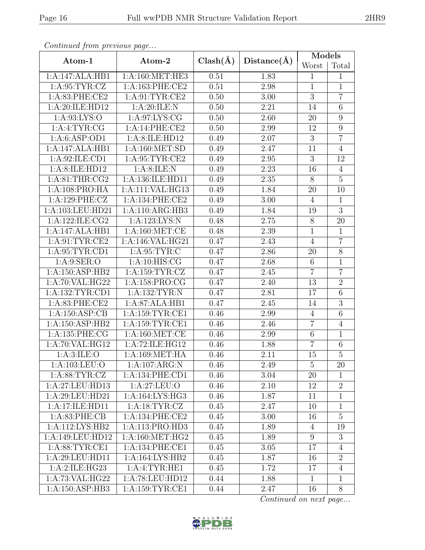| 2HR9 |
|------|
|      |
|      |
|      |

| ontentaca promo proceso ao pago |                                     |              |             | Models          |                  |
|---------------------------------|-------------------------------------|--------------|-------------|-----------------|------------------|
| Atom-1                          | Atom-2                              | $Clash(\AA)$ | Distance(A) | Worst           | Total            |
| 1:A:147:ALA:HB1                 | 1:A:160:MET:HE3                     | 0.51         | 1.83        | $\mathbf{1}$    | $\mathbf{1}$     |
| 1: A:95: TYR: CZ                | 1:A:163:PHE:CE2                     | 0.51         | $2.98\,$    | $\mathbf{1}$    | $\mathbf{1}$     |
| 1:A:83:PHE:CE2                  | 1: A:91: TYR: CE2                   | 0.50         | 3.00        | $\overline{3}$  | $\overline{7}$   |
| 1:A:20:ILE:HD12                 | 1: A:20: ILE:N                      | 0.50         | 2.21        | 14              | $\overline{6}$   |
| 1: A:93: LYS:O                  | 1: A:97: LYS: CG                    | 0.50         | 2.60        | $20\,$          | $\boldsymbol{9}$ |
| 1: A:4: TYR: CG                 | 1:A:14:PHE:CE2                      | 0.50         | 2.99        | 12              | $\boldsymbol{9}$ |
| 1:A:6:ASP:OD1                   | 1:A:8:ILE:HD12                      | 0.49         | 2.07        | $\overline{3}$  | $\overline{7}$   |
| 1:A:147:ALA:HB1                 | 1: A:160: MET:SD                    | 0.49         | 2.47        | 11              | $\overline{4}$   |
| 1: A:92: ILE: CD1               | 1: A:95: TYR:CE2                    | 0.49         | $2.95\,$    | $\overline{3}$  | 12               |
| 1:A:8:ILE:HD12                  | 1: A:8: ILE:N                       | 0.49         | 2.23        | 16              | $\overline{4}$   |
| 1: A:81:THR:CG2                 | 1:A:136:ILE:HD11                    | 0.49         | $2.35\,$    | 8               | $\overline{5}$   |
| 1:A:108:PRO:HA                  | 1:A:111:VAL:HG13                    | 0.49         | 1.84        | $20\,$          | 10               |
| 1:A:129:PHE:CZ                  | 1:A:134:PHE:CE2                     | 0.49         | 3.00        | $\overline{4}$  | $\mathbf{1}$     |
| 1:A:103:LEU:HD21                | 1:A:110:ARG:HB3                     | 0.49         | 1.84        | 19              | $\overline{3}$   |
| 1:A:122:ILE:CG2                 | 1:A:123:LYS:N                       | 0.48         | 2.75        | 8               | 20               |
| 1:A:147:ALA:HB1                 | 1: A:160:MET:CE                     | 0.48         | 2.39        | $\mathbf{1}$    | $\mathbf{1}$     |
| 1: A:91: TYR: CE2               | 1:A:146:VAL:HG21                    | 0.47         | 2.43        | $\overline{4}$  | $\overline{7}$   |
| 1: A:95:TYR:CD1                 | 1: A:95:TYR:C                       | 0.47         | 2.86        | 20              | $\overline{8}$   |
| 1: A:9: SER:O                   | 1: A:10: HIS: CG                    | 0.47         | 2.68        | $6\phantom{.}6$ | $\mathbf 1$      |
| 1:A:150:ASP:HB2                 | 1: A:159:TYR: CZ                    | 0.47         | 2.45        | $\overline{7}$  | $\overline{7}$   |
| 1:A:70:VAL:HG22                 | 1:A:158:PRO:CG                      | 0.47         | 2.40        | 13              | $\overline{2}$   |
| 1: A: 132: TYR: CD1             | 1: A: 132: TYR: N                   | 0.47         | 2.81        | 17              | $\sqrt{6}$       |
| 1:A:83:PHE:CE2                  | 1:A:87:ALA:HB1                      | 0.47         | 2.45        | 14              | $\overline{3}$   |
| 1:A:150:ASP:CB                  | 1:A:159:TYR:CE1                     | 0.46         | 2.99        | $\overline{4}$  | $\overline{6}$   |
| 1:A:150:ASP:HB2                 | $1:$ A:159:TYR:CE1                  | 0.46         | 2.46        | $\overline{7}$  | 4                |
| 1:A:135:PHE:CG                  | 1: A:160:MET:CE                     | 0.46         | 2.99        | $\,6$           | $\mathbf{1}$     |
| 1:A:70:VAL:HG12                 | 1:A:72:ILE:HG12                     | 0.46         | 1.88        | $\overline{7}$  | $\,6$            |
| 1: A:3: ILE: O                  | 1:A:169:MET:HA                      | 0.46         | 2.11        | 15              | $\overline{5}$   |
| 1:A:103:LEU:O                   | 1:A:107:ARG:N                       | 0.46         | 2.49        | 5               | 20               |
| 1: A:88: TYR: CZ                | 1:A:134:PHE:CD1                     | 0.46         | 3.04        | 20              | $\mathbf{1}$     |
| 1:A:27:LEU:HD13                 | 1: A:27: LEU:O                      | 0.46         | 2.10        | 12              | $\overline{2}$   |
| 1:A:29:LEU:HD21                 | 1: A: 164: LYS: HG3                 | 0.46         | 1.87        | 11              | $\mathbf{1}$     |
| 1:A:17:ILE:HD11                 | 1: A: 18: TYR: CZ                   | 0.45         | 2.47        | 10              | $\mathbf{1}$     |
| 1: A:83:PHE:CB                  | 1: A:134: PHE:CE2                   | 0.45         | 3.00        | 16              | $5\overline{)}$  |
| 1:A:112:LYS:HB2                 | 1:A:113:PRO:HD3                     | 0.45         | 1.89        | 4               | 19               |
| 1:A:149:LEU:HD12                | 1: A:160:MET:HG2                    | 0.45         | 1.89        | 9               | 3                |
| 1: A:88:TYR:CE1                 | 1:A:134:PHE:CE1                     | 0.45         | 3.05        | 17              | $\overline{4}$   |
| 1: A:29: LEU: HD11              | $1:A:164:\overline{\text{LYS:HB2}}$ | 0.45         | 1.87        | 16              | $\overline{2}$   |
| 1:A:2:ILE:HG23                  | 1:A:4:TYR:HE1                       | 0.45         | 1.72        | 17              | $\overline{4}$   |
| 1:A:73:VAL:HG22                 | 1:A:78:LEU:HD12                     | 0.44         | 1.88        | $\mathbf 1$     | $\mathbf{1}$     |
| 1:A:150:ASP:HB3                 | 1:A:159:TYR:CE1                     | 0.44         | 2.47        | 16              | 8                |

Continued from previous page...

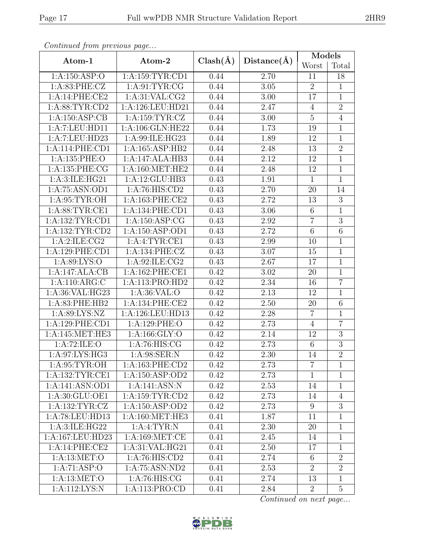| Continued from previous page |                     |              |                   | Models          |                |
|------------------------------|---------------------|--------------|-------------------|-----------------|----------------|
| Atom-1                       | Atom-2              | $Clash(\AA)$ | Distance(A)       | Worst           | Total          |
| 1:A:150:ASP:O                | 1: A: 159: TYR: CD1 | 0.44         | 2.70              | 11              | 18             |
| 1: A:83:PHE: CZ              | 1: A:91: TYR: CG    | 0.44         | 3.05              | $\overline{2}$  | $\mathbf{1}$   |
| 1:A:14:PHE:CE2               | 1: A:31: VAL: CG2   | 0.44         | 3.00              | 17              | $\mathbf{1}$   |
| 1: A:88: TYR:CD2             | 1:A:126:LEU:HD21    | 0.44         | 2.47              | $\overline{4}$  | $\overline{2}$ |
| 1:A:150:ASP:CB               | 1: A: 159: TYR: CZ  | 0.44         | 3.00              | $\overline{5}$  | $\overline{4}$ |
| 1:A:7:LEU:HDI1               | 1:A:106:GLN:HE22    | 0.44         | 1.73              | 19              | $\mathbf{1}$   |
| 1:A:7:LEU:HD23               | 1:A:99:ILE:HG23     | 0.44         | 1.89              | 12              | $\mathbf{1}$   |
| 1:A:114:PHE:CD1              | 1:A:165:ASP:HB2     | 0.44         | 2.48              | 13              | $\overline{2}$ |
| 1:A:135:PHE:O                | 1:A:147:ALA:HB3     | 0.44         | 2.12              | 12              | $\mathbf{1}$   |
| 1:A:135:PHE:CG               | 1: A:160:MET:HE2    | 0.44         | 2.48              | 12              | $\mathbf{1}$   |
| 1:A:3:ILE:HG21               | 1:A:12:GLU:HB3      | 0.43         | 1.91              | $\mathbf{1}$    | $\mathbf{1}$   |
| 1:A:75:ASN:OD1               | 1:A:76:HIS:CD2      | 0.43         | 2.70              | 20              | 14             |
| 1: A:95: TYR:OH              | 1: A:163: PHE:CE2   | 0.43         | 2.72              | 13              | 3              |
| 1: A:88: TYR: CE1            | 1:A:134:PHE:CD1     | 0.43         | 3.06              | 6               | 1              |
| 1: A: 132: TYR: CD1          | 1: A: 150: ASP: CG  | 0.43         | 2.92              | $\overline{7}$  | $\mathfrak{Z}$ |
| 1: A: 132: TYR: CD2          | 1: A: 150: ASP: OD1 | 0.43         | 2.72              | $6\phantom{.}6$ | $\,6$          |
| 1:A:2:ILE:CG2                | 1:A:4:TYR:CE1       | 0.43         | 2.99              | 10              | $\mathbf{1}$   |
| 1:A:129:PHE:CD1              | 1:A:134:PHE:CZ      | 0.43         | $\overline{3.07}$ | 15              | $\overline{1}$ |
| 1: A:89: LYS:O               | 1:A:92:ILE:CG2      | 0.43         | 2.67              | 17              | $\overline{1}$ |
| 1:A:147:ALA:CB               | 1:A:162:PHE:CE1     | 0.42         | 3.02              | 20              | $\mathbf 1$    |
| 1:A:110:ARG:C                | 1:A:113:PRO:HD2     | 0.42         | 2.34              | 16              | $\overline{7}$ |
| 1:A:36:VAL:HG23              | 1:A:36:VAL:O        | 0.42         | 2.13              | 12              | $\mathbf{1}$   |
| 1:A:83:PHE:HB2               | 1:A:134:PHE:CE2     | 0.42         | 2.50              | 20              | $\overline{6}$ |
| 1:A:89:LYS:NZ                | 1:A:126:LEU:HD13    | 0.42         | 2.28              | $\overline{7}$  | $\mathbf{1}$   |
| 1:A:129:PHE:CD1              | 1:A:129:PHE:O       | 0.42         | 2.73              | $\overline{4}$  | $\overline{7}$ |
| 1:A:145:MET:HE3              | 1:A:166:GLY:O       | 0.42         | 2.14              | 12              | $\overline{3}$ |
| 1:A:72:ILE:O                 | 1: A:76: HIS: CG    | 0.42         | 2.73              | $6\phantom{.}6$ | $\overline{3}$ |
| 1:A:97:LYS:HG3               | 1:A:98:SER:N        | 0.42         | $\overline{2.30}$ | $\overline{14}$ | $\overline{2}$ |
| 1: A:95: TYR:OH              | 1: A: 163: PHE: CD2 | 0.42         | 2.73              | $\overline{7}$  | $\mathbf{1}$   |
| 1: A: 132: TYR: CE1          | 1:A:150:ASP:OD2     | 0.42         | 2.73              | $\mathbf{1}$    | $\mathbf{1}$   |
| 1:A:141:ASN:OD1              | 1:A:141:ASN:N       | 0.42         | 2.53              | 14              | $\mathbf{1}$   |
| 1:A:30:GLU:OE1               | 1: A: 159: TYR: CD2 | 0.42         | 2.73              | 14              | $\overline{4}$ |
| 1: A: 132: TYR: CZ           | 1:A:150:ASP:OD2     | 0.42         | 2.73              | 9               | 3              |
| 1:A:78:LEU:HD13              | 1: A:160:MET:HE3    | 0.41         | 1.87              | 11              | $\mathbf{1}$   |
| 1: A:3: ILE: HG22            | 1:A:4:TYR:N         | 0.41         | 2.30              | 20              | $\mathbf{1}$   |
| 1:A:167:LEU:HD23             | 1: A:169: MET:CE    | 0.41         | 2.45              | 14              | $\mathbf{1}$   |
| 1:A:14:PHE:CE2               | 1: A:31: VAL: HG21  | 0.41         | 2.50              | 17              | $\mathbf{1}$   |
| 1: A:13: MET:O               | 1:A:76:HTS:CD2      | 0.41         | 2.74              | $6\,$           | $\overline{2}$ |
| 1:A:71:ASP:O                 | 1:A:75:ASN:ND2      | 0.41         | 2.53              | $\overline{2}$  | $\overline{2}$ |
| 1: A:13: MET:O               | 1: A:76: HIS: CG    | 0.41         | 2.74              | 13              | $\mathbf{1}$   |
| 1:A:112:LYS:N                | 1:A:113:PRO:CD      | 0.41         | 2.84              | $\overline{2}$  | $\overline{5}$ |

Continued from previous page.

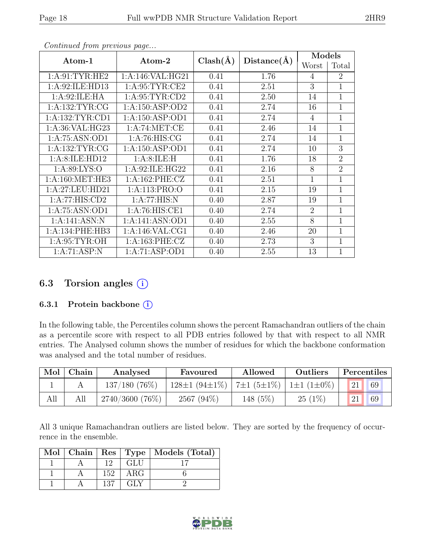| Atom-1              | $\rm{Atom\text{-}2}$ | $Clash(\AA)$ | Distance(A) | Models         |                |
|---------------------|----------------------|--------------|-------------|----------------|----------------|
|                     |                      |              |             | Worst          | Total          |
| 1: A:91: TYR: HE2   | 1:A:146:VAL:HG21     | 0.41         | 1.76        | 4              | $\overline{2}$ |
| 1:A:92:ILE:HD13     | 1: A:95: TYR:CE2     | 0.41         | 2.51        | 3              | $\mathbf 1$    |
| 1:A:92:ILE:HA       | 1: A:95: TYR:CD2     | 0.41         | 2.50        | 14             | $\overline{1}$ |
| 1:A:132:TYR:CG      | 1: A: 150: ASP: OD2  | 0.41         | 2.74        | 16             | 1              |
| 1: A: 132: TYR: CD1 | 1: A: 150: ASP: OD1  | 0.41         | 2.74        | $\overline{4}$ | $\mathbf{1}$   |
| 1: A:36: VAL: HG23  | 1:A:74:MET:CE        | 0.41         | 2.46        | 14             | $\mathbf{1}$   |
| 1:A:75:ASN:OD1      | 1: A:76: HIS: CG     | 0.41         | 2.74        | 14             | $\overline{1}$ |
| 1: A: 132: TYR: CG  | 1: A: 150: ASP: OD1  | 0.41         | 2.74        | 10             | 3              |
| 1:A:8:ILE:HD12      | 1: A:8: ILE:H        | 0.41         | 1.76        | 18             | $\overline{2}$ |
| 1: A:89: LYS:O      | 1: A:92: ILE: HG22   | 0.41         | 2.16        | 8              | $\overline{2}$ |
| 1: A:160: MET:HE3   | 1: A:162: PHE: CZ    | 0.41         | 2.51        | $\mathbf{1}$   | 1              |
| 1:A:27:LEU:HD21     | 1: A: 113: PRO: O    | 0.41         | 2.15        | 19             | 1              |
| 1:A:77:HIS:CD2      | 1: A:77: HIS:N       | 0.40         | 2.87        | 19             | $\mathbf{1}$   |
| 1:A:75:ASN:OD1      | 1:A:76:HIS:CE1       | 0.40         | 2.74        | $\overline{2}$ | $\mathbf{1}$   |
| 1:A:141:ASN:N       | 1:A:141:ASN:OD1      | 0.40         | 2.55        | 8              | $\mathbf{1}$   |
| 1: A:134: PHE:HB3   | 1: A:146: VAL:CG1    | 0.40         | 2.46        | 20             | 1              |
| 1: A:95: TYR:OH     | 1:A:163:PHE:CZ       | 0.40         | 2.73        | 3              | $\mathbf{1}$   |
| 1:A:71:ASP:N        | 1:A:71:ASP:OD1       | 0.40         | 2.55        | 13             | $\mathbf{1}$   |

Continued from previous page...

## 6.3 Torsion angles  $(i)$

#### 6.3.1 Protein backbone (i)

In the following table, the Percentiles column shows the percent Ramachandran outliers of the chain as a percentile score with respect to all PDB entries followed by that with respect to all NMR entries. The Analysed column shows the number of residues for which the backbone conformation was analysed and the total number of residues.

| Mol | Chain | Analysed        | Favoured            | Allowed                                        | Outliers  | Percentiles |
|-----|-------|-----------------|---------------------|------------------------------------------------|-----------|-------------|
|     |       | $137/180(76\%)$ | $128\pm1(94\pm1\%)$ | $7\pm1$ (5 $\pm1\%$ )   1 $\pm1$ (1 $\pm0\%$ ) |           | 69          |
| All |       | 2740/3600 (76%) | 2567 (94%)          | 148 (5%)                                       | $25(1\%)$ | 69          |

All 3 unique Ramachandran outliers are listed below. They are sorted by the frequency of occurrence in the ensemble.

|  |     |            | Mol   Chain   Res   Type   Models (Total) |
|--|-----|------------|-------------------------------------------|
|  | 19. | GLU        |                                           |
|  | 152 | ARG        |                                           |
|  | 137 | <b>GLY</b> |                                           |

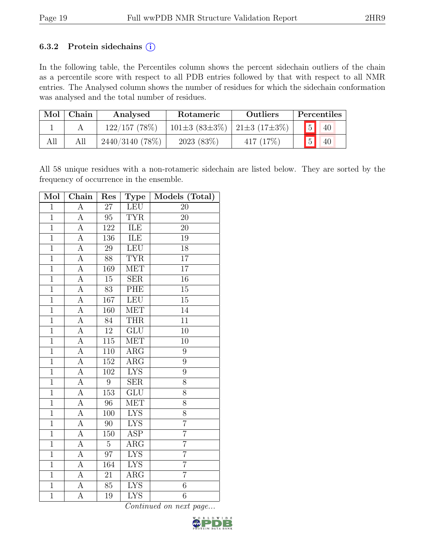#### 6.3.2 Protein sidechains  $(i)$

In the following table, the Percentiles column shows the percent sidechain outliers of the chain as a percentile score with respect to all PDB entries followed by that with respect to all NMR entries. The Analysed column shows the number of residues for which the sidechain conformation was analysed and the total number of residues.

| Mol | Chain | Analysed          | Rotameric                                           | <b>Outliers</b> |                | Percentiles |
|-----|-------|-------------------|-----------------------------------------------------|-----------------|----------------|-------------|
|     |       | $122/157$ (78%)   | $101\pm3$ (83 $\pm3\%$ )   21 $\pm3$ (17 $\pm3\%$ ) |                 | $\boxed{5}$    | 40          |
| All |       | $2440/3140(78\%)$ | 2023(83%)                                           | 417(17%)        | $\overline{5}$ | 40          |

All 58 unique residues with a non-rotameric sidechain are listed below. They are sorted by the frequency of occurrence in the ensemble.

| Mol            | Chain              | Res              | <b>Type</b>               | Models (Total)  |
|----------------|--------------------|------------------|---------------------------|-----------------|
| $\overline{1}$ | А                  | $\overline{27}$  | <b>LEU</b>                | 20              |
| $\overline{1}$ | A                  | 95               | <b>TYR</b>                | 20              |
| $\overline{1}$ | A                  | 122              | ILE                       | 20              |
| $\overline{1}$ | $\overline{A}$     | 136              | ILE                       | 19              |
| $\overline{1}$ | A                  | 29               | LEU                       | 18              |
| $\overline{1}$ | А                  | 88               | <b>TYR</b>                | $\overline{17}$ |
| $\overline{1}$ | A                  | 169              | <b>MET</b>                | $\overline{17}$ |
| $\overline{1}$ | $\overline{A}$     | $\overline{15}$  | SER                       | $\overline{16}$ |
| $\overline{1}$ | $\overline{\rm A}$ | 83               | PHE                       | $\overline{15}$ |
| $\overline{1}$ | $\overline{A}$     | 167              | <b>LEU</b>                | 15              |
| $\overline{1}$ | $\overline{A}$     | 160              | <b>MET</b>                | $\overline{14}$ |
| $\overline{1}$ | $\overline{\rm A}$ | 84               | <b>THR</b>                | 11              |
| $\overline{1}$ | А                  | $\overline{12}$  | $\overline{\mathrm{GLU}}$ | 10              |
| $\overline{1}$ | A                  | 115              | <b>MET</b>                | 10              |
| $\overline{1}$ | A                  | 110              | $AR\overline{G}$          | $\overline{9}$  |
| $\overline{1}$ | А                  | 152              | $AR\overline{G}$          | $\overline{9}$  |
| $\overline{1}$ | A                  | 102              | <b>LYS</b>                | 9               |
| $\overline{1}$ | $\overline{A}$     | $\boldsymbol{9}$ | $\overline{\text{SER}}$   | $\overline{8}$  |
| $\overline{1}$ | A                  | 153              | GLU                       | 8               |
| $\overline{1}$ | $\overline{A}$     | $\overline{96}$  | <b>MET</b>                | $\overline{8}$  |
| $\overline{1}$ | $\overline{A}$     | 100              | $\overline{\text{LYS}}$   | $\overline{8}$  |
| $\overline{1}$ | A                  | 90               | <b>LYS</b>                | $\overline{7}$  |
| $\overline{1}$ | А                  | 150              | $\overline{\text{ASP}}$   | $\overline{7}$  |
| $\overline{1}$ | $\overline{A}$     | $\overline{5}$   | $\overline{\rm{ARG}}$     | $\overline{7}$  |
| $\overline{1}$ | $\overline{A}$     | $\overline{97}$  | <b>LYS</b>                | $\overline{7}$  |
| $\overline{1}$ | А                  | 164              | <b>LYS</b>                | $\overline{7}$  |
| $\mathbf{1}$   | A                  | 21               | $AR\overline{G}$          | $\overline{7}$  |
| $\overline{1}$ | $\overline{A}$     | 85               | <b>LYS</b>                | $\overline{6}$  |
| $\mathbf{1}$   | A                  | 19               | <b>LYS</b>                | $\,6$           |

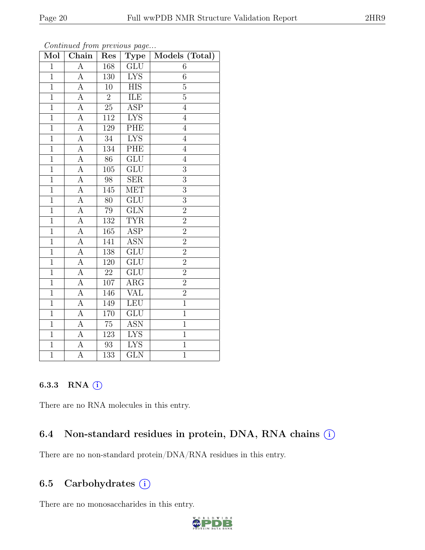| Mol            | Convenaca point providuo pago<br>Chain | Res              | <b>Type</b>             | Models (Total)   |
|----------------|----------------------------------------|------------------|-------------------------|------------------|
| $\mathbf{1}$   | $\mathbf{A}$                           | 168              | GLU                     | 6                |
| $\overline{1}$ | $\boldsymbol{A}$                       | 130              | <b>LYS</b>              | $\sqrt{6}$       |
| $\mathbf{1}$   | $\overline{A}$                         | 10               | $\overline{HIS}$        | $\overline{5}$   |
| $\overline{1}$ | $\overline{A}$                         | $\overline{2}$   | ILE                     | $\overline{5}$   |
| $\overline{1}$ | $\overline{A}$                         | $\overline{25}$  | <b>ASP</b>              | $\overline{4}$   |
| $\overline{1}$ | $\overline{A}$                         | 112              | <b>LYS</b>              | $\overline{4}$   |
| $\mathbf{1}$   | $\overline{A}$                         | 129              | PHE                     | $\overline{4}$   |
| $\overline{1}$ | $\overline{A}$                         | 34               | <b>LYS</b>              | $\overline{4}$   |
| $\overline{1}$ | $\overline{\rm A}$                     | $\overline{1}34$ | PHE                     | $\overline{4}$   |
| $\overline{1}$ | $\overline{A}$                         | $\overline{86}$  | $\overline{\text{GLU}}$ | $\overline{4}$   |
| $\mathbf{1}$   | A                                      | 105              | GLU                     | $\boldsymbol{3}$ |
| $\overline{1}$ | $\overline{A}$                         | $\overline{98}$  | $\overline{\text{SER}}$ | $\overline{3}$   |
| $\overline{1}$ | $\boldsymbol{A}$                       | 145              | <b>MET</b>              | $\overline{3}$   |
| $\overline{1}$ | A                                      | 80               | $\overline{\text{GLU}}$ | $\overline{3}$   |
| $\overline{1}$ | $\overline{A}$                         | 79               | $\overline{\text{GLN}}$ | $\overline{2}$   |
| $\mathbf{1}$   | $\mathbf{A}$                           | 132              | <b>TYR</b>              | $\overline{2}$   |
| $\overline{1}$ | $\overline{A}$                         | 165              | $\overline{\text{ASP}}$ | $\overline{2}$   |
| $\mathbf{1}$   | A                                      | 141              | <b>ASN</b>              | $\overline{2}$   |
| $\overline{1}$ | $\overline{A}$                         | 138              | GLU                     | $\overline{2}$   |
| $\mathbf{1}$   | $\overline{A}$                         | 120              | GLU                     | $\overline{2}$   |
| $\overline{1}$ | $\overline{A}$                         | $\overline{22}$  | GLU                     | $\overline{2}$   |
| $\overline{1}$ | $\overline{A}$                         | 107              | $\overline{\text{ARG}}$ | $\overline{2}$   |
| $\overline{1}$ | $\overline{A}$                         | 146              | VAL                     | $\overline{2}$   |
| $\mathbf{1}$   | $\overline{A}$                         | 149              | LEU                     | $\overline{1}$   |
| $\overline{1}$ | $\overline{\rm A}$                     | 170              | $\overline{\text{GLU}}$ | $\overline{1}$   |
| $\overline{1}$ | $\overline{\rm A}$                     | $75\,$           | <b>ASN</b>              | $\mathbf{1}$     |
| $\overline{1}$ | $\overline{A}$                         | $\overline{123}$ | <b>LYS</b>              | $\overline{1}$   |
| $\overline{1}$ | $\boldsymbol{A}$                       | 93               | <b>LYS</b>              | $\overline{1}$   |
| $\overline{1}$ | $\overline{\rm A}$                     | $\overline{133}$ | $\overline{\text{GLN}}$ | $\overline{1}$   |

Continued from previous page...

### 6.3.3 RNA (i)

There are no RNA molecules in this entry.

## 6.4 Non-standard residues in protein, DNA, RNA chains  $(i)$

There are no non-standard protein/DNA/RNA residues in this entry.

## 6.5 Carbohydrates  $(i)$

There are no monosaccharides in this entry.

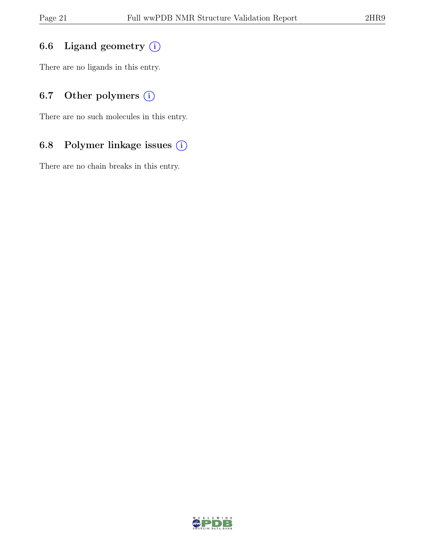## 6.6 Ligand geometry  $(i)$

There are no ligands in this entry.

## 6.7 Other polymers  $(i)$

There are no such molecules in this entry.

## 6.8 Polymer linkage issues (i)

There are no chain breaks in this entry.